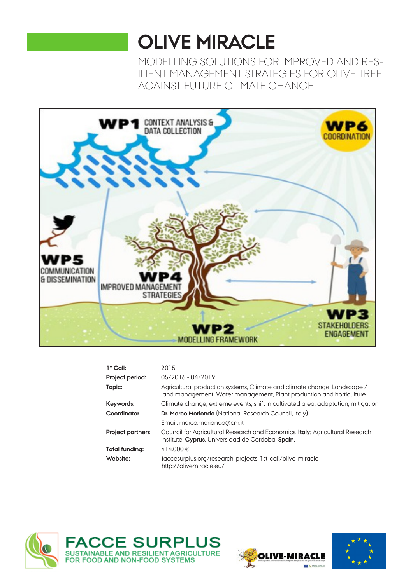# **OLIVE MIRACLE**

MODELLING SOLUTIONS FOR IMPROVED AND RES-ILIENT MANAGEMENT STRATEGIES FOR OLIVE TREE AGAINST FUTURE CLIMATE CHANGE



| 1° Call:                | 2015                                                                                                                                              |
|-------------------------|---------------------------------------------------------------------------------------------------------------------------------------------------|
| Project period:         | 05/2016 - 04/2019                                                                                                                                 |
| Topic:                  | Agricultural production systems, Climate and climate change, Landscape /<br>land management, Water management, Plant production and horticulture. |
| Keywords:               | Climate change, extreme events, shift in cultivated area, adaptation, mitigation                                                                  |
| Coordinator             | <b>Dr. Marco Moriondo</b> (National Research Council, Italy)                                                                                      |
|                         | Email: marco.moriondo@cnr.it                                                                                                                      |
| <b>Project partners</b> | Council for Agricultural Research and Economics, <b>Italy</b> ; Agricultural Research<br>Institute, Cyprus, Universidad de Cordoba, Spain.        |
| Total funding:          | 414.000€                                                                                                                                          |
| Website:                | faccesurplus.org/research-projects-1st-call/olive-miracle<br>http://olivemiracle.eu/                                                              |